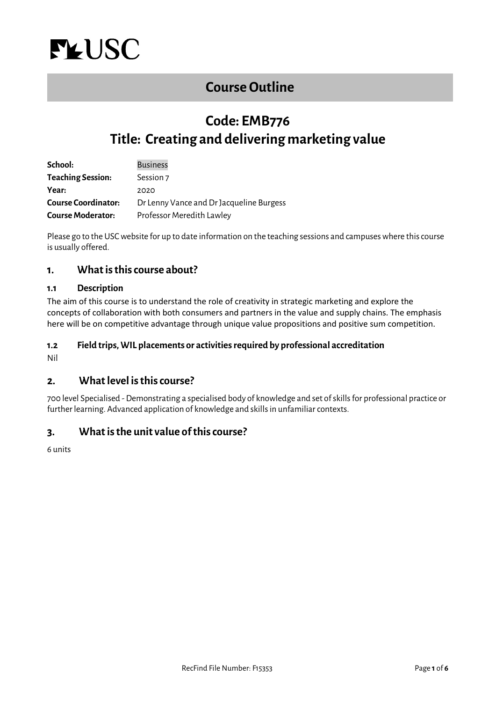<span id="page-0-0"></span>

# **[Course Outline](#page-0-0)**

# **Code: EMB776 Title: Creating and delivering marketing value**

| School:                    | <b>Business</b>                          |
|----------------------------|------------------------------------------|
| <b>Teaching Session:</b>   | Session 7                                |
| Year:                      | 2020                                     |
| <b>Course Coordinator:</b> | Dr Lenny Vance and Dr Jacqueline Burgess |
| <b>Course Moderator:</b>   | Professor Meredith Lawley                |

Please go to the USC website for up to date information on the teaching sessions and campuses where this course is usually offered.

## **1. What is this course about?**

### **1.1 Description**

The aim of this course is to understand the role of creativity in strategic marketing and explore the concepts of collaboration with both consumers and partners in the value and supply chains. The emphasis here will be on competitive advantage through unique value propositions and positive sum competition.

#### **1.2 Field trips, WIL placements or activities required by professional accreditation**

Nil

## **2. What level is this course?**

700 level Specialised -Demonstrating a specialised body of knowledge and set of skills for professional practice or further learning. Advanced application of knowledge and skills in unfamiliar contexts.

## **3. What is the unit value of this course?**

6 units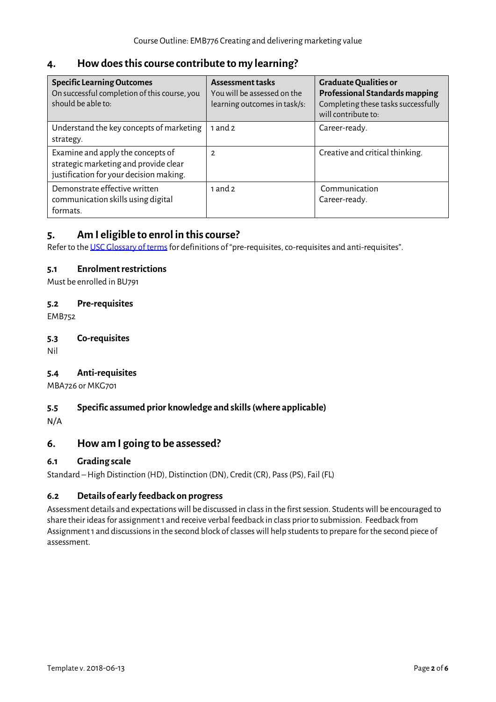# **4. How does this course contribute to my learning?**

| <b>Specific Learning Outcomes</b><br>On successful completion of this course, you<br>should be able to:               | <b>Assessment tasks</b><br>You will be assessed on the<br>learning outcomes in task/s: | <b>Graduate Qualities or</b><br><b>Professional Standards mapping</b><br>Completing these tasks successfully<br>will contribute to: |
|-----------------------------------------------------------------------------------------------------------------------|----------------------------------------------------------------------------------------|-------------------------------------------------------------------------------------------------------------------------------------|
| Understand the key concepts of marketing<br>strategy.                                                                 | 1 and $2$                                                                              | Career-ready.                                                                                                                       |
| Examine and apply the concepts of<br>strategic marketing and provide clear<br>justification for your decision making. | $\overline{2}$                                                                         | Creative and critical thinking.                                                                                                     |
| Demonstrate effective written<br>communication skills using digital<br>formats.                                       | 1 and $2$                                                                              | Communication<br>Career-ready.                                                                                                      |

# **5. Am I eligible to enrol in this course?**

Refer to th[e USC Glossary of terms](http://www.usc.edu.au/learn/the-usc-experience/study-locations/study-at-caboolture/glossary-of-terms) for definitions of "pre-requisites, co-requisites and anti-requisites".

### **5.1 Enrolment restrictions**

Must be enrolled in BU791

### **5.2 Pre-requisites**

EMB752

### **5.3 Co-requisites**

Nil

### **5.4 Anti-requisites**

MBA726 or MKG701

### **5.5 Specific assumed prior knowledge and skills (where applicable)**

N/A

## **6. How am I going to be assessed?**

### **6.1 Grading scale**

Standard –High Distinction (HD), Distinction (DN), Credit (CR), Pass (PS), Fail (FL)

### **6.2 Details of early feedback on progress**

Assessment details and expectations will be discussed in class in the first session. Students will be encouraged to share their ideas for assignment 1 and receive verbal feedback in class prior to submission. Feedback from Assignment 1 and discussions in the second block of classes will help students to prepare for the second piece of assessment.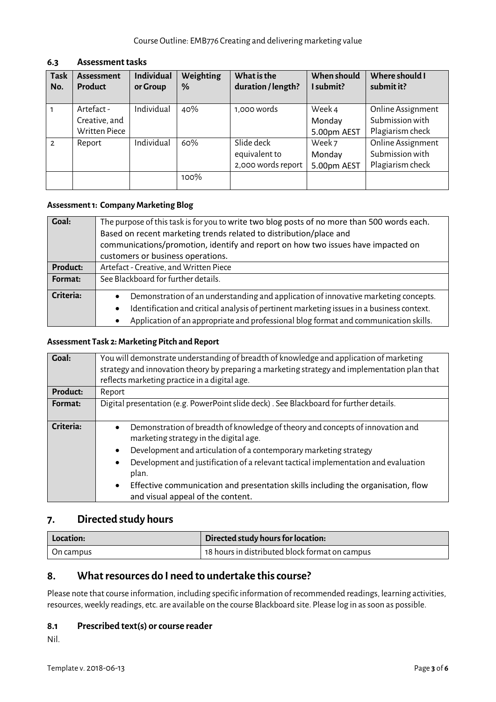| <b>Task</b><br>No. | <b>Assessment</b><br><b>Product</b>                 | <b>Individual</b><br>or Group | Weighting<br>% | What is the<br>duration / length?                 | When should<br>I submit?        | Where should I<br>submit it?                             |
|--------------------|-----------------------------------------------------|-------------------------------|----------------|---------------------------------------------------|---------------------------------|----------------------------------------------------------|
|                    | Artefact -<br>Creative, and<br><b>Written Piece</b> | Individual                    | 40%            | 1,000 words                                       | Week 4<br>Monday<br>5.00pm AEST | Online Assignment<br>Submission with<br>Plagiarism check |
| $\mathcal{P}$      | Report                                              | Individual                    | 60%            | Slide deck<br>equivalent to<br>2,000 words report | Week 7<br>Monday<br>5.00pm AEST | Online Assignment<br>Submission with<br>Plagiarism check |
|                    |                                                     |                               | 100%           |                                                   |                                 |                                                          |

### **6.3 Assessment tasks**

## **Assessment1: Company Marketing Blog**

| Goal:     | The purpose of this task is for you to write two blog posts of no more than 500 words each.<br>Based on recent marketing trends related to distribution/place and<br>communications/promotion, identify and report on how two issues have impacted on<br>customers or business operations.                      |  |
|-----------|-----------------------------------------------------------------------------------------------------------------------------------------------------------------------------------------------------------------------------------------------------------------------------------------------------------------|--|
| Product:  | Artefact - Creative, and Written Piece                                                                                                                                                                                                                                                                          |  |
| Format:   | See Blackboard for further details.                                                                                                                                                                                                                                                                             |  |
| Criteria: | Demonstration of an understanding and application of innovative marketing concepts.<br>$\bullet$<br>Identification and critical analysis of pertinent marketing issues in a business context.<br>$\bullet$<br>Application of an appropriate and professional blog format and communication skills.<br>$\bullet$ |  |

#### **Assessment Task 2: Marketing Pitch and Report**

| <b>Goal:</b> | You will demonstrate understanding of breadth of knowledge and application of marketing<br>strategy and innovation theory by preparing a marketing strategy and implementation plan that<br>reflects marketing practice in a digital age.                                                                                                                                                                                          |  |  |
|--------------|------------------------------------------------------------------------------------------------------------------------------------------------------------------------------------------------------------------------------------------------------------------------------------------------------------------------------------------------------------------------------------------------------------------------------------|--|--|
| Product:     | Report                                                                                                                                                                                                                                                                                                                                                                                                                             |  |  |
| Format:      | Digital presentation (e.g. PowerPoint slide deck) . See Blackboard for further details.                                                                                                                                                                                                                                                                                                                                            |  |  |
| Criteria:    | Demonstration of breadth of knowledge of theory and concepts of innovation and<br>marketing strategy in the digital age.<br>Development and articulation of a contemporary marketing strategy<br>Development and justification of a relevant tactical implementation and evaluation<br>plan.<br>Effective communication and presentation skills including the organisation, flow<br>$\bullet$<br>and visual appeal of the content. |  |  |

# **7. Directed study hours**

| Location:        | Directed study hours for location:             |  |
|------------------|------------------------------------------------|--|
| $\mid$ On campus | 18 hours in distributed block format on campus |  |

## **8. What resources do I need to undertake this course?**

Please note that course information, including specific information of recommended readings, learning activities, resources, weekly readings, etc. are available on the course Blackboard site. Please log in as soon as possible.

### **8.1 Prescribed text(s) or course reader**

Nil.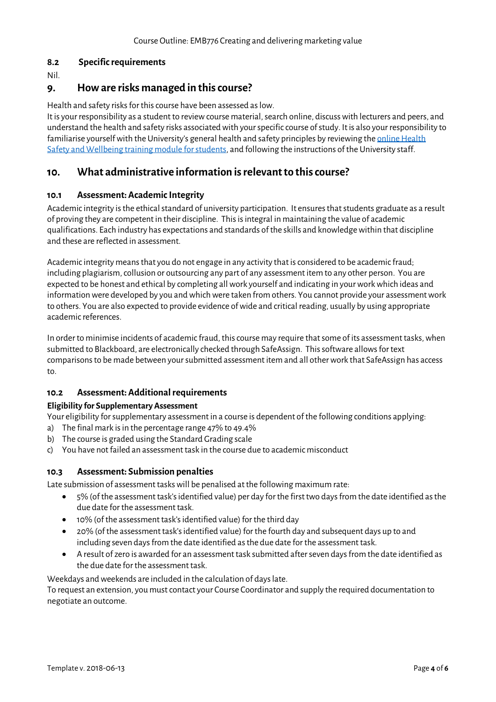### **8.2 Specific requirements**

Nil.

## **9. How are risks managed in this course?**

Health and safety risks for this course have been assessed as low.

It is your responsibility as a student to review course material, search online, discuss with lecturers and peers, and understand the health and safety risks associated with your specific course of study. It is also your responsibility to familiarise yourself with the University's general health and safety principles by reviewing the online Health [Safety and Wellbeing training module for students,](https://online.usc.edu.au/webapps/blackboard/content/listContentEditable.jsp?content_id=_632657_1&course_id=_14432_1) and following the instructions of the University staff.

## **10. What administrative information is relevant to this course?**

#### **10.1 Assessment: Academic Integrity**

Academic integrity is the ethical standard of university participation. It ensures that students graduate as a result of proving they are competent in their discipline. Thisis integral in maintaining the value of academic qualifications. Each industry has expectations and standards of the skills and knowledge within that discipline and these are reflected in assessment.

Academic integrity means that you do not engage in any activity that is considered to be academic fraud; including plagiarism, collusion or outsourcing any part of any assessment item to any other person. You are expected to be honest and ethical by completing all work yourself and indicating in your work which ideas and information were developed by you and which were taken from others. You cannot provide your assessment work to others. You are also expected to provide evidence of wide and critical reading, usually by using appropriate academic references.

In order to minimise incidents of academic fraud, this course may require that some of its assessment tasks, when submitted to Blackboard, are electronically checked through SafeAssign. This software allows for text comparisons to be made between your submitted assessment item and all other work that SafeAssign has access to.

### **10.2 Assessment: Additional requirements**

#### **Eligibility for Supplementary Assessment**

Your eligibility for supplementary assessment in a course is dependent of the following conditions applying:

- a) The final mark is in the percentage range 47% to 49.4%
- b) The course is graded using the Standard Grading scale
- c) You have not failed an assessment task in the course due to academic misconduct

#### **10.3 Assessment: Submission penalties**

Late submission of assessment tasks will be penalised at the following maximum rate:

- 5% (of the assessment task's identified value) per day for the first two days from the date identified as the due date for the assessment task.
- 10% (of the assessment task's identified value) for the third day
- 20% (of the assessment task's identified value) for the fourth day and subsequent days up to and including seven days from the date identified as the due date for the assessment task.
- A result of zero is awarded for an assessment task submitted after seven days from the date identified as the due date for the assessment task.

Weekdays and weekends are included in the calculation of days late.

To request an extension, you must contact your Course Coordinator and supply the required documentation to negotiate an outcome.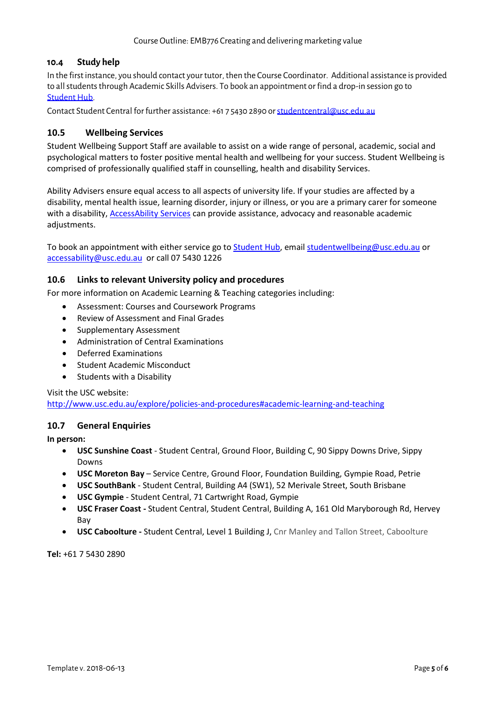## **10.4 Study help**

In the first instance, you should contact your tutor, then the Course Coordinator. Additional assistance is provided to all students through Academic Skills Advisers. To book an appointment or find a drop-in session go to Student Hub.

Contact Student Central for further assistance: +61 7 5430 2890 or [studentcentral@usc.edu.au](mailto:studentcentral@usc.edu.au)

## **10.5 Wellbeing Services**

Student Wellbeing Support Staff are available to assist on a wide range of personal, academic, social and psychological matters to foster positive mental health and wellbeing for your success. Student Wellbeing is comprised of professionally qualified staff in counselling, health and disability Services.

Ability Advisers ensure equal access to all aspects of university life. If your studies are affected by a disability, mental health issue, learning disorder, injury or illness, or you are a primary carer for someone with a disability, [AccessAbility Services](https://www.usc.edu.au/learn/student-support/accessability-services/documentation-requirements) can provide assistance, advocacy and reasonable academic adjustments.

To book an appointment with either service go to [Student Hub,](https://studenthub.usc.edu.au/students/login?ReturnUrl=%2f) email [studentwellbeing@usc.edu.au](mailto:studentwellbeing@usc.edu.au) or [accessability@usc.edu.au](mailto:accessability@usc.edu.au) or call 07 5430 1226

### **10.6 Links to relevant University policy and procedures**

For more information on Academic Learning & Teaching categories including:

- Assessment: Courses and Coursework Programs
- Review of Assessment and Final Grades
- Supplementary Assessment
- Administration of Central Examinations
- Deferred Examinations
- Student Academic Misconduct
- Students with a Disability

Visit the USC website:

<http://www.usc.edu.au/explore/policies-and-procedures#academic-learning-and-teaching>

### **10.7 General Enquiries**

**In person:**

- **USC Sunshine Coast** Student Central, Ground Floor, Building C, 90 Sippy Downs Drive, Sippy Downs
- **USC Moreton Bay** Service Centre, Ground Floor, Foundation Building, Gympie Road, Petrie
- **USC SouthBank** Student Central, Building A4 (SW1), 52 Merivale Street, South Brisbane
- **USC Gympie** Student Central, 71 Cartwright Road, Gympie
- **USC Fraser Coast -** Student Central, Student Central, Building A, 161 Old Maryborough Rd, Hervey Bay
- **USC Caboolture -** Student Central, Level 1 Building J, Cnr Manley and Tallon Street, Caboolture

**Tel:** +61 7 5430 2890